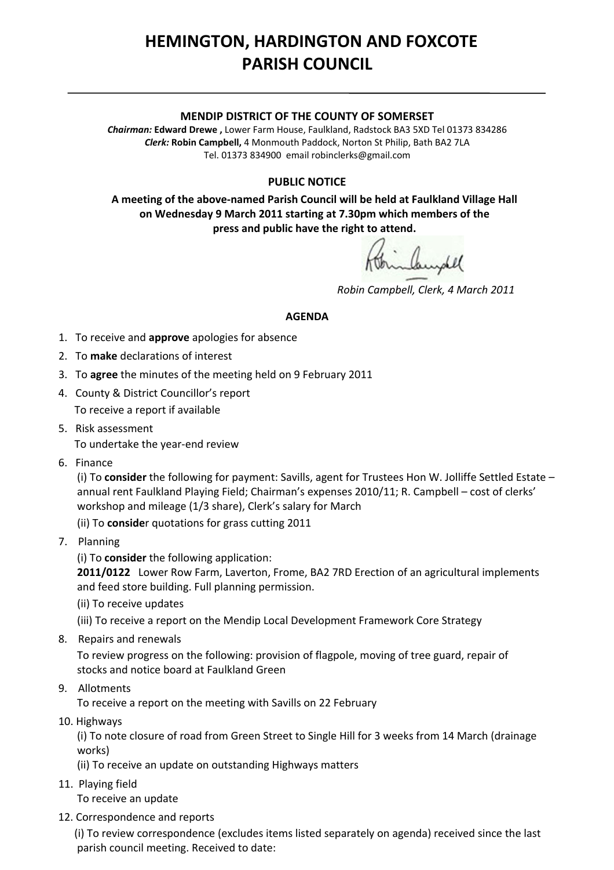## **HEMINGTON, HARDINGTON AND FOXCOTE PARISH COUNCIL**

## **MENDIP DISTRICT OF THE COUNTY OF SOMERSET**

*Chairman:* **Edward Drewe ,** Lower Farm House, Faulkland, Radstock BA3 5XD Tel 01373 834286 *Clerk:* **Robin Campbell,** 4 Monmouth Paddock, Norton St Philip, Bath BA2 7LA Tel. 01373 834900 email [robinclerks@gmail.com](mailto:robinclerks@googlemail.com)

## **PUBLIC NOTICE**

**A meeting of the above‐named Parish Council will be held at Faulkland Village Hall on Wednesday 9 March 2011 starting at 7.30pm which members of the press and public have the right to attend.**

 *Robin Campbell, Clerk, 4 March 2011*

## **AGENDA**

- 1. To receive and **approve** apologies for absence
- 2. To **make** declarations of interest
- 3. To **agree** the minutes of the meeting held on 9 February 2011
- 4. County & District Councillor's report To receive a report if available
- 5. Risk assessment

To undertake the year‐end review

6. Finance

 (i) To **consider** the following for payment: Savills, agent for Trustees Hon W. Jolliffe Settled Estate – annual rent Faulkland Playing Field; Chairman's expenses 2010/11; R. Campbell – cost of clerks' workshop and mileage (1/3 share), Clerk's salary for March

(ii) To **conside**r quotations for grass cutting 2011

- 7. Planning
	- (i) To **consider** the following application:

 **2011/0122**  Lower Row Farm, Laverton, Frome, BA2 7RD Erection of an agricultural implements and feed store building. Full planning permission.

(ii) To receive updates

(iii) To receive a report on the Mendip Local Development Framework Core Strategy

8. Repairs and renewals

 To review progress on the following: provision of flagpole, moving of tree guard, repair of stocks and notice board at Faulkland Green

9. Allotments

To receive a report on the meeting with Savills on 22 February

10. Highways

 (i) To note closure of road from Green Street to Single Hill for 3 weeks from 14 March (drainage works)

(ii) To receive an update on outstanding Highways matters

11. Playing field

To receive an update

12. Correspondence and reports

 (i) To review correspondence (excludes items listed separately on agenda) received since the last parish council meeting. Received to date: